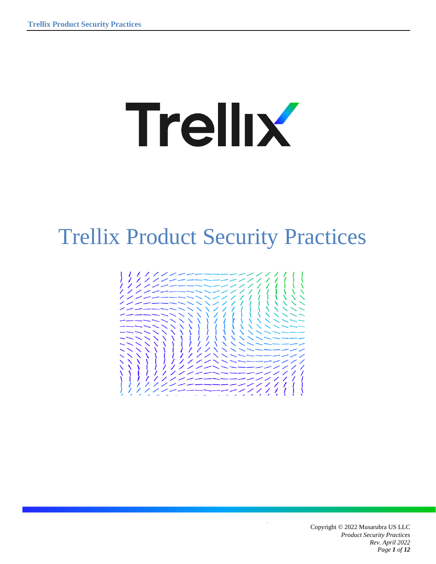# **Trellix**

## Trellix Product Security Practices



Copyright © 2022 Musarubra US LLC *Product Security Practices Rev. April 2022 Page 1 of 12*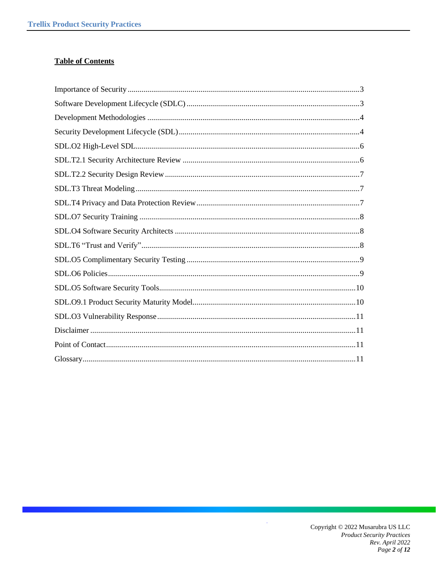#### **Table of Contents**

 $\ddot{\phantom{a}}$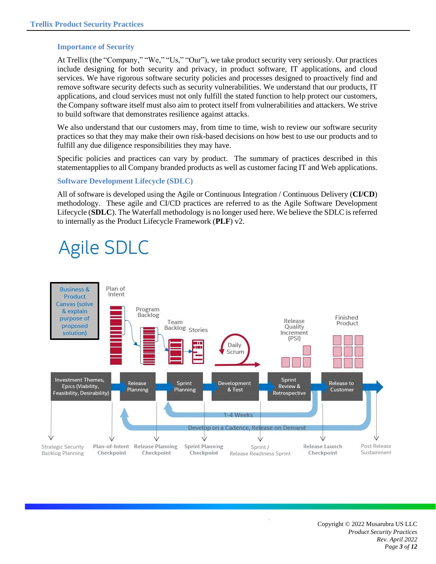#### <span id="page-2-0"></span>**Importance of Security**

At Trellix (the "Company," "We," "Us," "Our"), we take product security very seriously. Our practices include designing for both security and privacy, in product software, IT applications, and cloud services. We have rigorous software security policies and processes designed to proactively find and remove software security defects such as security vulnerabilities. We understand that our products, IT applications, and cloud services must not only fulfill the stated function to help protect our customers, the Company software itself must also aim to protect itself from vulnerabilities and attackers. We strive to build software that demonstrates resilience against attacks.

We also understand that our customers may, from time to time, wish to review our software security practices so that they may make their own risk-based decisions on how best to use our products and to fulfill any due diligence responsibilities they may have.

Specific policies and practices can vary by product. The summary of practices described in this statementapplies to all Company branded products as well as customer facing IT and Web applications.

#### <span id="page-2-1"></span>**Software Development Lifecycle (SDLC)**

All of software is developed using the Agile or Continuous Integration / Continuous Delivery (**CI/CD**) methodology. These agile and CI/CD practices are referred to as the Agile Software Development Lifecycle (**SDLC**). The Waterfall methodology is no longer used here. We believe the SDLC is referred to internally as the Product Lifecycle Framework (**PLF**) v2.

### **Agile SDLC**

<span id="page-2-2"></span>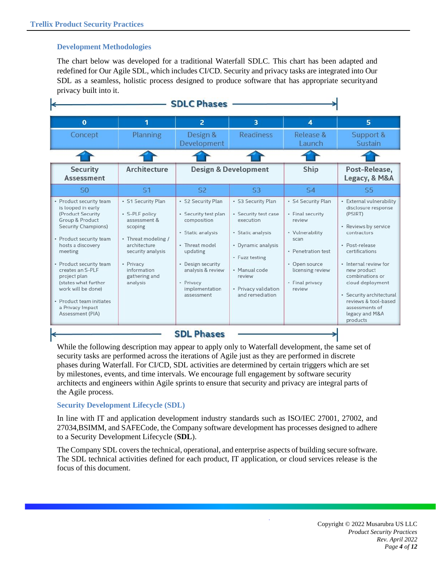#### **Development Methodologies**

The chart below was developed for a traditional Waterfall SDLC. This chart has been adapted and redefined for Our Agile SDL, which includes CI/CD. Security and privacy tasks are integrated into Our SDL as a seamless, holistic process designed to produce software that has appropriate securityand privacy built into it.

| <b>SDLC Phases</b>                                                                                                                                                                                                                                                                                                                                              |                                                                                                                                                                                       |                                                                                                                                                                                                     |                                                                                                                                                                                            |                                                                                                                                                                     |                                                                                                                                                                                                                                                                                                                          |
|-----------------------------------------------------------------------------------------------------------------------------------------------------------------------------------------------------------------------------------------------------------------------------------------------------------------------------------------------------------------|---------------------------------------------------------------------------------------------------------------------------------------------------------------------------------------|-----------------------------------------------------------------------------------------------------------------------------------------------------------------------------------------------------|--------------------------------------------------------------------------------------------------------------------------------------------------------------------------------------------|---------------------------------------------------------------------------------------------------------------------------------------------------------------------|--------------------------------------------------------------------------------------------------------------------------------------------------------------------------------------------------------------------------------------------------------------------------------------------------------------------------|
| $\mathbf 0$                                                                                                                                                                                                                                                                                                                                                     | 1                                                                                                                                                                                     | $\overline{2}$                                                                                                                                                                                      | $\overline{\mathbf{3}}$                                                                                                                                                                    | 4                                                                                                                                                                   | 5                                                                                                                                                                                                                                                                                                                        |
| Concept                                                                                                                                                                                                                                                                                                                                                         | <b>Planning</b>                                                                                                                                                                       | Design &<br>Development                                                                                                                                                                             | <b>Readiness</b>                                                                                                                                                                           | Release &<br>Launch                                                                                                                                                 | Support &<br>Sustain                                                                                                                                                                                                                                                                                                     |
|                                                                                                                                                                                                                                                                                                                                                                 |                                                                                                                                                                                       |                                                                                                                                                                                                     |                                                                                                                                                                                            |                                                                                                                                                                     |                                                                                                                                                                                                                                                                                                                          |
| <b>Security</b><br><b>Assessment</b>                                                                                                                                                                                                                                                                                                                            | Architecture                                                                                                                                                                          |                                                                                                                                                                                                     | <b>Design &amp; Development</b>                                                                                                                                                            | Ship                                                                                                                                                                | Post-Release,<br>Legacy, & M&A                                                                                                                                                                                                                                                                                           |
| SO                                                                                                                                                                                                                                                                                                                                                              | S <sub>1</sub>                                                                                                                                                                        | S <sub>2</sub>                                                                                                                                                                                      | S <sub>3</sub>                                                                                                                                                                             | S <sub>4</sub>                                                                                                                                                      | S <sub>5</sub>                                                                                                                                                                                                                                                                                                           |
| • Product security team<br>is looped in early<br>(Product Security<br>Group & Product<br><b>Security Champions)</b><br>· Product security team<br>hosts a discovery<br>meeting<br>• Product security team<br>creates an S-PLF<br>project plan<br>(states what further<br>work will be done)<br>· Product team initiates<br>a Privacy Impact<br>Assessment (PIA) | · S1 Security Plan<br>· S-PLF policy<br>assessment &<br>scoping<br>• Threat modeling /<br>architecture.<br>security analysis<br>- Privacy<br>information<br>gathering and<br>analysis | · S2 Security Plan<br>· Security test plan<br>composition<br>· Static analysis<br>· Threat model<br>updating<br>• Design security<br>analysis & review<br>· Privacy<br>implementation<br>assessment | · S3 Security Plan<br>· Security test case<br>execution<br>· Static analysis<br>· Dynamic analysis<br>• Fuzz testing<br>· Manual code<br>review<br>· Privacy validation<br>and remediation | · S4 Security Plan<br>• Final security<br>review<br>• Vulnerability<br>scan<br>· Penetration test<br>• Open source<br>licensing review<br>• Final privacy<br>review | · External vulnerability<br>disclosure response<br>(PSIRT)<br>- Reviews by service<br>contractors<br>· Post-release<br>certifications<br>· Internal review for<br>new product<br>combinations or<br>cloud deployment<br>· Security architectural<br>reviews & tool-based<br>assessments of<br>legacy and M&A<br>products |

While the following description may appear to apply only to Waterfall development, the same set of security tasks are performed across the iterations of Agile just as they are performed in discrete phases during Waterfall. For CI/CD, SDL activities are determined by certain triggers which are set by milestones, events, and time intervals. We encourage full engagement by software security architects and engineers within Agile sprints to ensure that security and privacy are integral parts of the Agile process.

#### <span id="page-3-0"></span>**Security Development Lifecycle (SDL)**

In line with IT and application development industry standards such as ISO/IEC 27001, 27002, and 27034,BSIMM, and SAFECode, the Company software development has processes designed to adhere to a Security Development Lifecycle (**SDL**).

The Company SDL covers the technical, operational, and enterprise aspects of building secure software. The SDL technical activities defined for each product, IT application, or cloud services release is the focus of this document.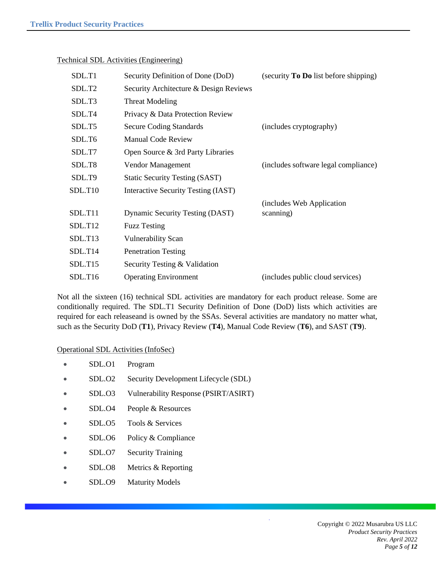| SDL.T1              | Security Definition of Done (DoD)      | (security <b>To Do</b> list before shipping) |
|---------------------|----------------------------------------|----------------------------------------------|
| SDL.T <sub>2</sub>  | Security Architecture & Design Reviews |                                              |
| SDL.T3              | <b>Threat Modeling</b>                 |                                              |
| SDL.T4              | Privacy & Data Protection Review       |                                              |
| SDL.T5              | <b>Secure Coding Standards</b>         | (includes cryptography)                      |
| SDL.T6              | <b>Manual Code Review</b>              |                                              |
| SDL.T7              | Open Source & 3rd Party Libraries      |                                              |
| SDL.T8              | Vendor Management                      | (includes software legal compliance)         |
| SDL.T9              | <b>Static Security Testing (SAST)</b>  |                                              |
| SDL.T10             | Interactive Security Testing (IAST)    |                                              |
|                     |                                        | (includes Web Application)                   |
| <b>SDL.T11</b>      | <b>Dynamic Security Testing (DAST)</b> | scanning)                                    |
| SDL.T12             | <b>Fuzz Testing</b>                    |                                              |
| SDL.T <sub>13</sub> | <b>Vulnerability Scan</b>              |                                              |
| SDL.T14             | <b>Penetration Testing</b>             |                                              |
| SDL.T15             | Security Testing & Validation          |                                              |
| SDL.T16             | <b>Operating Environment</b>           | (includes public cloud services)             |
|                     |                                        |                                              |

#### Technical SDL Activities (Engineering)

Not all the sixteen (16) technical SDL activities are mandatory for each product release. Some are conditionally required. The SDL.T1 Security Definition of Done (DoD) lists which activities are required for each releaseand is owned by the SSAs. Several activities are mandatory no matter what, such as the Security DoD (**T1**), Privacy Review (**T4**), Manual Code Review (**T6**), and SAST (**T9**).

#### Operational SDL Activities (InfoSec)

- SDL.O1 Program
- SDL.O2 Security Development Lifecycle (SDL)
- SDL.O3 Vulnerability Response (PSIRT/ASIRT)
- SDL.O4 People & Resources
- SDL.O5 Tools & Services
- SDL.O6 Policy & Compliance
- SDL.O7 Security Training
- SDL.O8 Metrics & Reporting
- SDL.O9 Maturity Models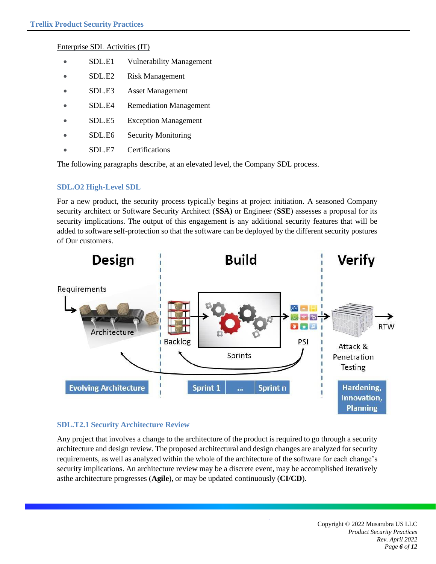#### Enterprise SDL Activities (IT)

- SDL.E1 Vulnerability Management
- SDL.E2 Risk Management
- SDL.E3 Asset Management
- SDL.E4 Remediation Management
- SDL.E5 Exception Management
- SDL.E6 Security Monitoring
- SDL.E7 Certifications

The following paragraphs describe, at an elevated level, the Company SDL process.

#### <span id="page-5-0"></span>**SDL.O2 High-Level SDL**

For a new product, the security process typically begins at project initiation. A seasoned Company security architect or Software Security Architect (**SSA**) or Engineer (**SSE**) assesses a proposal for its security implications. The output of this engagement is any additional security features that will be added to software self-protection so that the software can be deployed by the different security postures of Our customers.



#### <span id="page-5-1"></span>**SDL.T2.1 Security Architecture Review**

<span id="page-5-2"></span>Any project that involves a change to the architecture of the product is required to go through a security architecture and design review. The proposed architectural and design changes are analyzed for security requirements, as well as analyzed within the whole of the architecture of the software for each change's security implications. An architecture review may be a discrete event, may be accomplished iteratively asthe architecture progresses (**Agile**), or may be updated continuously (**CI/CD**).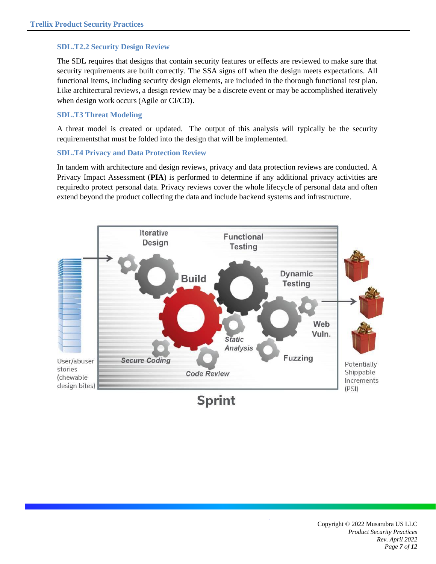#### **SDL.T2.2 Security Design Review**

The SDL requires that designs that contain security features or effects are reviewed to make sure that security requirements are built correctly. The SSA signs off when the design meets expectations. All functional items, including security design elements, are included in the thorough functional test plan. Like architectural reviews, a design review may be a discrete event or may be accomplished iteratively when design work occurs (Agile or CI/CD).

#### <span id="page-6-0"></span>**SDL.T3 Threat Modeling**

A threat model is created or updated. The output of this analysis will typically be the security requirementsthat must be folded into the design that will be implemented.

#### <span id="page-6-1"></span>**SDL.T4 Privacy and Data Protection Review**

In tandem with architecture and design reviews, privacy and data protection reviews are conducted. A Privacy Impact Assessment (**PIA**) is performed to determine if any additional privacy activities are requiredto protect personal data. Privacy reviews cover the whole lifecycle of personal data and often extend beyond the product collecting the data and include backend systems and infrastructure.



**Sprint**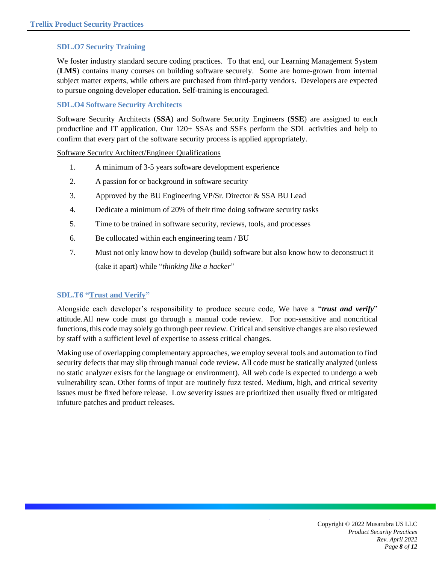#### <span id="page-7-0"></span>**SDL.O7 Security Training**

We foster industry standard secure coding practices. To that end, our Learning Management System (**LMS**) contains many courses on building software securely. Some are home-grown from internal subject matter experts, while others are purchased from third-party vendors. Developers are expected to pursue ongoing developer education. Self-training is encouraged.

#### <span id="page-7-1"></span>**SDL.O4 Software Security Architects**

Software Security Architects (**SSA**) and Software Security Engineers (**SSE**) are assigned to each productline and IT application. Our 120+ SSAs and SSEs perform the SDL activities and help to confirm that every part of the software security process is applied appropriately.

Software Security Architect/Engineer Qualifications

- 1. A minimum of 3-5 years software development experience
- 2. A passion for or background in software security
- 3. Approved by the BU Engineering VP/Sr. Director & SSA BU Lead
- 4. Dedicate a minimum of 20% of their time doing software security tasks
- 5. Time to be trained in software security, reviews, tools, and processes
- 6. Be collocated within each engineering team / BU
- 7. Must not only know how to develop (build) software but also know how to deconstruct it (take it apart) while "*thinking like a hacker*"

#### <span id="page-7-2"></span>**SDL.T6 "Trust and Verify"**

Alongside each developer's responsibility to produce secure code, We have a "*trust and verify*" attitude.All new code must go through a manual code review. For non-sensitive and noncritical functions, this code may solely go through peer review. Critical and sensitive changes are also reviewed by staff with a sufficient level of expertise to assess critical changes.

Making use of overlapping complementary approaches, we employ several tools and automation to find security defects that may slip through manual code review. All code must be statically analyzed (unless no static analyzer exists for the language or environment). All web code is expected to undergo a web vulnerability scan. Other forms of input are routinely fuzz tested. Medium, high, and critical severity issues must be fixed before release. Low severity issues are prioritized then usually fixed or mitigated infuture patches and product releases.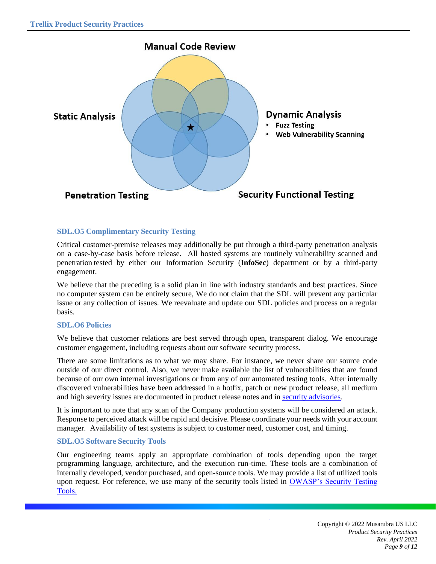

#### <span id="page-8-0"></span>**SDL.O5 Complimentary Security Testing**

Critical customer-premise releases may additionally be put through a third-party penetration analysis on a case-by-case basis before release. All hosted systems are routinely vulnerability scanned and penetration tested by either our Information Security (**InfoSec**) department or by a third-party engagement.

We believe that the preceding is a solid plan in line with industry standards and best practices. Since no computer system can be entirely secure, We do not claim that the SDL will prevent any particular issue or any collection of issues. We reevaluate and update our SDL policies and process on a regular basis.

#### <span id="page-8-1"></span>**SDL.O6 Policies**

We believe that customer relations are best served through open, transparent dialog. We encourage customer engagement, including requests about our software security process.

There are some limitations as to what we may share. For instance, we never share our source code outside of our direct control. Also, we never make available the list of vulnerabilities that are found because of our own internal investigations or from any of our automated testing tools. After internally discovered vulnerabilities have been addressed in a hotfix, patch or new product release, all medium and high severity issues are documented in product release notes and in security [advisories.](https://www.trellix.com/en-us/assets/docs/legal/supplier-security-requirements.pdf)

It is important to note that any scan of the Company production systems will be considered an attack. Response to perceived attack will be rapid and decisive. Please coordinate your needs with your account manager. Availability of test systems is subject to customer need, customer cost, and timing.

#### <span id="page-8-2"></span>**SDL.O5 Software Security Tools**

Our engineering teams apply an appropriate combination of tools depending upon the target programming language, architecture, and the execution run-time. These tools are a combination of internally developed, vendor purchased, and open-source tools. We may provide a list of utilized tools upon request. For reference, we use many of the security tools listed in OWASP's Security Testing [Tools.](https://owasp.org/www-project-web-security-testing-guide/v41/6-Appendix/A-Testing_Tools_Resource)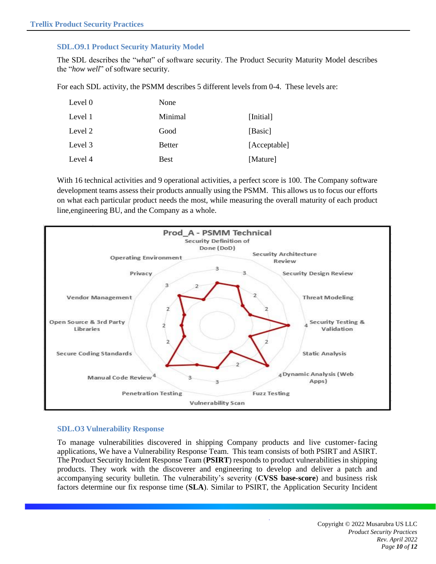#### <span id="page-9-0"></span>**SDL.O9.1 Product Security Maturity Model**

The SDL describes the "*what*" of software security. The Product Security Maturity Model describes the "*how well*" of software security.

For each SDL activity, the PSMM describes 5 different levels from 0-4. These levels are:

| Level 0 | None          |              |
|---------|---------------|--------------|
| Level 1 | Minimal       | [Initial]    |
| Level 2 | Good          | [Basic]      |
| Level 3 | <b>Better</b> | [Acceptable] |
| Level 4 | <b>Best</b>   | [Mature]     |

With 16 technical activities and 9 operational activities, a perfect score is 100. The Company software development teams assess their products annually using the PSMM. This allows us to focus our efforts on what each particular product needs the most, while measuring the overall maturity of each product line,engineering BU, and the Company as a whole.



#### <span id="page-9-1"></span>**SDL.O3 Vulnerability Response**

To manage vulnerabilities discovered in shipping Company products and live customer- facing applications, We have a Vulnerability Response Team. This team consists of both PSIRT and ASIRT. The Product Security Incident Response Team (**[PSIRT](http://www.mcafee.com/us/threat-center/product-security-bulletins.aspx)**) responds to product vulnerabilities in shipping products. They work with the discoverer and engineering to develop and deliver a patch and accompanying security bulletin. The vulnerability's severity (**CVSS base-score**) and business risk factors determine our fix response time (**SLA**). Similar to PSIRT, the Application Security Incident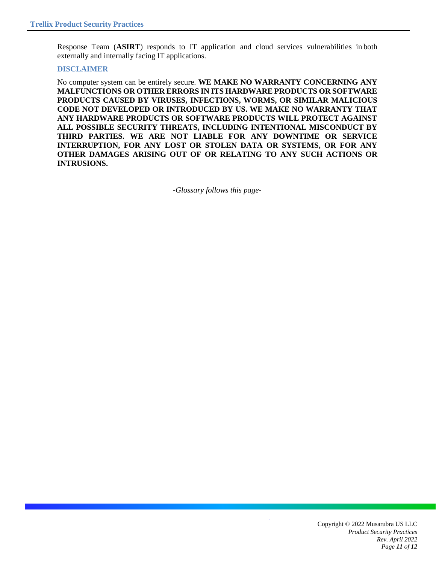Response Team (**ASIRT**) responds to IT application and cloud services vulnerabilities in both externally and internally facing IT applications.

#### <span id="page-10-0"></span>**DISCLAIMER**

<span id="page-10-1"></span>No computer system can be entirely secure. **WE MAKE NO WARRANTY CONCERNING ANY MALFUNCTIONS OR OTHER ERRORS IN ITS HARDWARE PRODUCTS OR SOFTWARE PRODUCTS CAUSED BY VIRUSES, INFECTIONS, WORMS, OR SIMILAR MALICIOUS CODE NOT DEVELOPED OR INTRODUCED BY US. WE MAKE NO WARRANTY THAT ANY HARDWARE PRODUCTS OR SOFTWARE PRODUCTS WILL PROTECT AGAINST ALL POSSIBLE SECURITY THREATS, INCLUDING INTENTIONAL MISCONDUCT BY THIRD PARTIES. WE ARE NOT LIABLE FOR ANY DOWNTIME OR SERVICE INTERRUPTION, FOR ANY LOST OR STOLEN DATA OR SYSTEMS, OR FOR ANY OTHER DAMAGES ARISING OUT OF OR RELATING TO ANY SUCH ACTIONS OR INTRUSIONS.**

*-Glossary follows this page-*